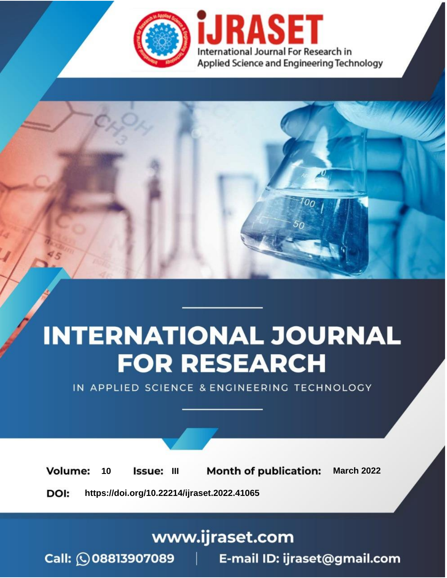

# **INTERNATIONAL JOURNAL FOR RESEARCH**

IN APPLIED SCIENCE & ENGINEERING TECHNOLOGY

10 **Issue: III Month of publication:** March 2022 **Volume:** 

**https://doi.org/10.22214/ijraset.2022.41065**DOI:

www.ijraset.com

Call: 008813907089 | E-mail ID: ijraset@gmail.com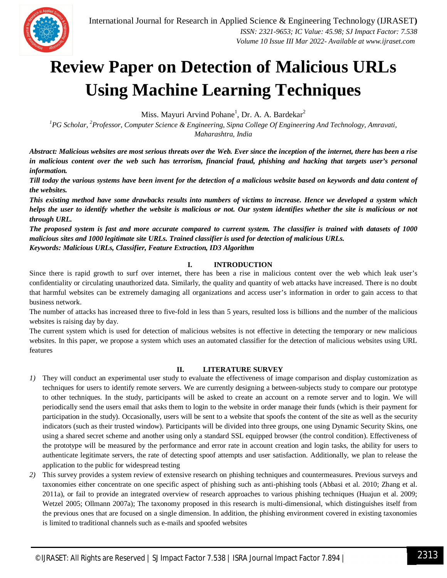

### **Review Paper on Detection of Malicious URLs Using Machine Learning Techniques**

Miss. Mayuri Arvind Pohane<sup>1</sup>, Dr. A. A. Bardekar<sup>2</sup>

*<sup>1</sup>PG Scholar, <sup>2</sup>Professor, Computer Science & Engineering, Sipna College Of Engineering And Technology, Amravati, Maharashtra, India*

*Abstract: Malicious websites are most serious threats over the Web. Ever since the inception of the internet, there has been a rise in malicious content over the web such has terrorism, financial fraud, phishing and hacking that targets user's personal information.* 

*Till today the various systems have been invent for the detection of a malicious website based on keywords and data content of the websites.* 

*This existing method have some drawbacks results into numbers of victims to increase. Hence we developed a system which helps the user to identify whether the website is malicious or not. Our system identifies whether the site is malicious or not through URL.* 

*The proposed system is fast and more accurate compared to current system. The classifier is trained with datasets of 1000 malicious sites and 1000 legitimate site URLs. Trained classifier is used for detection of malicious URLs. Keywords: Malicious URLs, Classifier, Feature Extraction, ID3 Algorithm*

#### **I. INTRODUCTION**

Since there is rapid growth to surf over internet, there has been a rise in malicious content over the web which leak user's confidentiality or circulating unauthorized data. Similarly, the quality and quantity of web attacks have increased. There is no doubt that harmful websites can be extremely damaging all organizations and access user's information in order to gain access to that business network.

The number of attacks has increased three to five-fold in less than 5 years, resulted loss is billions and the number of the malicious websites is raising day by day.

The current system which is used for detection of malicious websites is not effective in detecting the temporary or new malicious websites. In this paper, we propose a system which uses an automated classifier for the detection of malicious websites using URL features

#### **II. LITERATURE SURVEY**

- *1)* They will conduct an experimental user study to evaluate the effectiveness of image comparison and display customization as techniques for users to identify remote servers. We are currently designing a between-subjects study to compare our prototype to other techniques. In the study, participants will be asked to create an account on a remote server and to login. We will periodically send the users email that asks them to login to the website in order manage their funds (which is their payment for participation in the study). Occasionally, users will be sent to a website that spoofs the content of the site as well as the security indicators (such as their trusted window). Participants will be divided into three groups, one using Dynamic Security Skins, one using a shared secret scheme and another using only a standard SSL equipped browser (the control condition). Effectiveness of the prototype will be measured by the performance and error rate in account creation and login tasks, the ability for users to authenticate legitimate servers, the rate of detecting spoof attempts and user satisfaction. Additionally, we plan to release the application to the public for widespread testing
- *2)* This survey provides a system review of extensive research on phishing techniques and countermeasures. Previous surveys and taxonomies either concentrate on one specific aspect of phishing such as anti-phishing tools (Abbasi et al. 2010; Zhang et al. 2011a), or fail to provide an integrated overview of research approaches to various phishing techniques (Huajun et al. 2009; Wetzel 2005; Ollmann 2007a); The taxonomy proposed in this research is multi-dimensional, which distinguishes itself from the previous ones that are focused on a single dimension. In addition, the phishing environment covered in existing taxonomies is limited to traditional channels such as e-mails and spoofed websites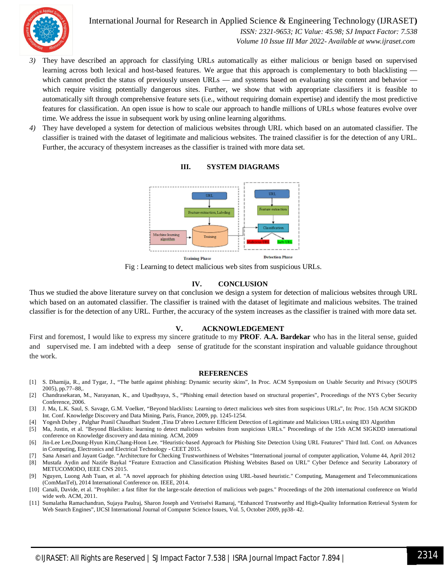

International Journal for Research in Applied Science & Engineering Technology (IJRASET**)**  *ISSN: 2321-9653; IC Value: 45.98; SJ Impact Factor: 7.538 Volume 10 Issue III Mar 2022- Available at www.ijraset.com*

- *3)* They have described an approach for classifying URLs automatically as either malicious or benign based on supervised learning across both lexical and host-based features. We argue that this approach is complementary to both blacklisting which cannot predict the status of previously unseen URLs — and systems based on evaluating site content and behavior which require visiting potentially dangerous sites. Further, we show that with appropriate classifiers it is feasible to automatically sift through comprehensive feature sets (i.e., without requiring domain expertise) and identify the most predictive features for classification. An open issue is how to scale our approach to handle millions of URLs whose features evolve over time. We address the issue in subsequent work by using online learning algorithms.
- *4)* They have developed a system for detection of malicious websites through URL which based on an automated classifier. The classifier is trained with the dataset of legitimate and malicious websites. The trained classifier is for the detection of any URL. Further, the accuracy of thesystem increases as the classifier is trained with more data set.



#### **III. SYSTEM DIAGRAMS**

Fig : Learning to detect malicious web sites from suspicious URLs.

#### **IV. CONCLUSION**

Thus we studied the above literature survey on that conclusion we design a system for detection of malicious websites through URL which based on an automated classifier. The classifier is trained with the dataset of legitimate and malicious websites. The trained classifier is for the detection of any URL. Further, the accuracy of the system increases as the classifier is trained with more data set.

#### **V. ACKNOWLEDGEMENT**

First and foremost, I would like to express my sincere gratitude to my **PROF**. **A.A. Bardekar** who has in the literal sense, guided and supervised me. I am indebted with a deep sense of gratitude for the sconstant inspiration and valuable guidance throughout the work.

#### **REFERENCES**

- [1] S. Dhamija, R., and Tygar, J., "The battle against phishing: Dynamic security skins", In Proc. ACM Symposium on Usable Security and Privacy (SOUPS 2005), pp.77–88,.
- [2] Chandrasekaran, M., Narayanan, K., and Upadhyaya, S., "Phishing email detection based on structural properties", Proceedings of the NYS Cyber Security Conference, 2006.
- [3] J. Ma, L.K. Saul, S. Savage, G.M. Voelker, "Beyond blacklists: Learning to detect malicious web sites from suspicious URLs", In: Proc. 15th ACM SIGKDD Int. Conf. Knowledge Discovery and Data Mining, Paris, France, 2009, pp. 1245-1254.
- [4] Yogesh Dubey , Palghar Pranil Chaudhari Student ,Tina D'abreo Lecturer Efficient Detection of Legitimate and Malicious URLs using ID3 Algorithm
- [5] Ma, Justin, et al. "Beyond Blacklists: learning to detect malicious websites from suspicious URLs." Proceedings of the 15th ACM SIGKDD international conference on Knowledge discovery and data mining. ACM, 2009
- [6] Jin-Lee Lee,Doung-Hyun Kim,Chang-Hoon Lee. "Heuristic-based Approach for Phishing Site Detection Using URL Features" Third Intl. Conf. on Advances in Computing, Electronics and Electrical Technology - CEET 2015.
- [7] Sana Ansari and Jayant Gadge. "Architecture for Checking Trustworthiness of Websites "International journal of computer application, Volume 44, April 2012 [8] Mustafa Aydin and Nazife Baykal "Feature Extraction and Classification Phishing Websites Based on URL" Cyber Defence and Security Laboratory of
- METUCOMODO, IEEE CNS 2015. [9] Nguyen, Luong Anh Tuan, et al. "A novel approach for phishing detection using URL-based heuristic." Computing, Management and Telecommunications (ComManTel), 2014 International Conference on. IEEE, 2014.
- [10] Canali, Davide, et al. "Prophiler: a fast filter for the large-scale detection of malicious web pages." Proceedings of the 20th international conference on World wide web. ACM, 2011.
- [11] Sumalatha Ramachandran, Sujaya Paulraj, Sharon Joseph and Vetriselvi Ramaraj, "Enhanced Trustworthy and High-Quality Information Retrieval System for Web Search Engines", IJCSI International Journal of Computer Science Issues, Vol. 5, October 2009, pp38- 42.